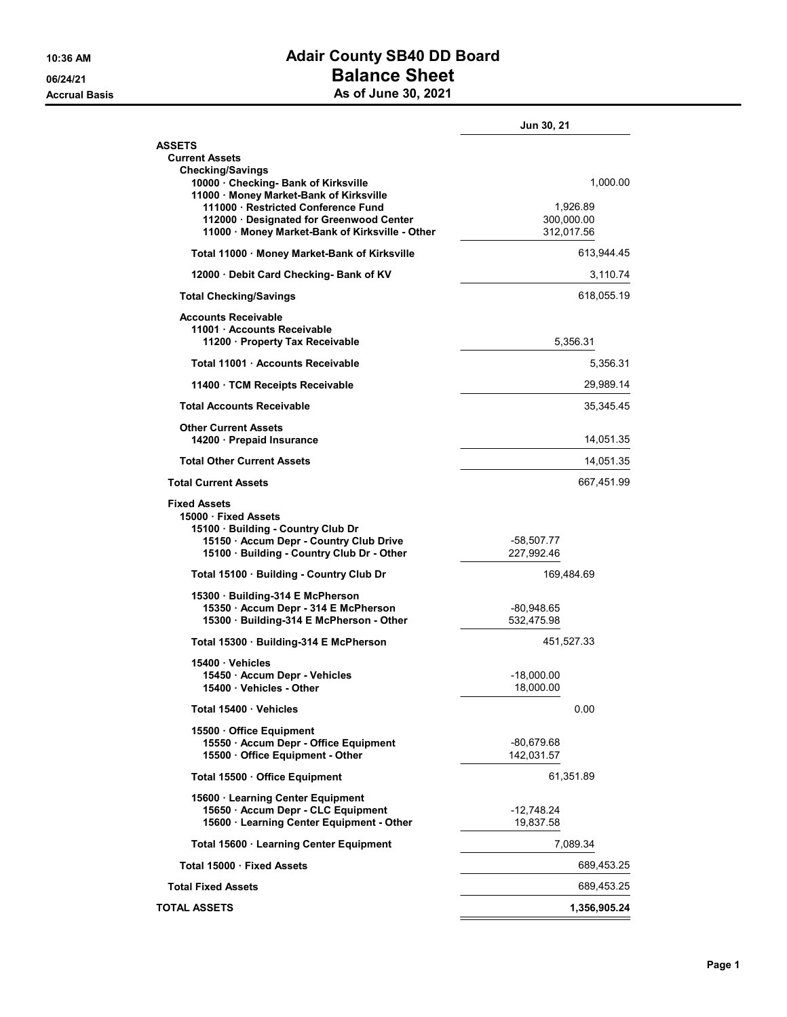## 10:36 AM **Adair County SB40 DD Board** 06/24/21 **Balance Sheet** Accrual Basis **Accrual Basis** As of June 30, 2021

|                                                                                                                                  | Jun 30, 21                           |
|----------------------------------------------------------------------------------------------------------------------------------|--------------------------------------|
| <b>ASSETS</b><br><b>Current Assets</b>                                                                                           |                                      |
| <b>Checking/Savings</b><br>10000 Checking- Bank of Kirksville<br>11000 · Money Market-Bank of Kirksville                         | 1,000.00                             |
| 111000 Restricted Conference Fund<br>112000 · Designated for Greenwood Center<br>11000 · Money Market-Bank of Kirksville - Other | 1,926.89<br>300,000.00<br>312,017.56 |
| Total 11000 · Money Market-Bank of Kirksville                                                                                    | 613,944.45                           |
| 12000 Debit Card Checking- Bank of KV                                                                                            | 3,110.74                             |
| <b>Total Checking/Savings</b>                                                                                                    | 618,055.19                           |
| <b>Accounts Receivable</b><br>11001 · Accounts Receivable<br>11200 Property Tax Receivable                                       | 5,356.31                             |
| Total 11001 Accounts Receivable                                                                                                  | 5,356.31                             |
| 11400 TCM Receipts Receivable                                                                                                    | 29,989.14                            |
| <b>Total Accounts Receivable</b>                                                                                                 | 35,345.45                            |
| <b>Other Current Assets</b><br>14200 Prepaid Insurance                                                                           | 14,051.35                            |
| <b>Total Other Current Assets</b>                                                                                                | 14,051.35                            |
| <b>Total Current Assets</b>                                                                                                      | 667,451.99                           |
| <b>Fixed Assets</b><br>15000 Fixed Assets<br>15100 Building - Country Club Dr<br>15150 · Accum Depr - Country Club Drive         | -58,507.77                           |
| 15100 · Building - Country Club Dr - Other                                                                                       | 227,992.46                           |
| Total 15100 · Building - Country Club Dr                                                                                         | 169,484.69                           |
| 15300 · Building-314 E McPherson<br>15350 · Accum Depr - 314 E McPherson<br>15300 · Building-314 E McPherson - Other             | -80,948.65<br>532,475.98             |
| Total 15300 Building-314 E McPherson                                                                                             | 451,527.33                           |
| 15400 Vehicles<br>15450 · Accum Depr - Vehicles<br>15400 · Vehicles - Other                                                      | $-18,000.00$<br>18,000.00            |
| Total 15400 · Vehicles                                                                                                           | 0.00                                 |
| 15500 Office Equipment<br>15550 · Accum Depr - Office Equipment<br>15500 Office Equipment - Other                                | -80,679.68<br>142,031.57             |
| Total 15500 Office Equipment                                                                                                     | 61,351.89                            |
| 15600 · Learning Center Equipment<br>15650 · Accum Depr - CLC Equipment<br>15600 · Learning Center Equipment - Other             | $-12,748.24$<br>19,837.58            |
| Total 15600 · Learning Center Equipment                                                                                          | 7,089.34                             |
| Total 15000 · Fixed Assets                                                                                                       | 689,453.25                           |
| <b>Total Fixed Assets</b>                                                                                                        | 689,453.25                           |
| <b>TOTAL ASSETS</b>                                                                                                              | 1,356,905.24                         |